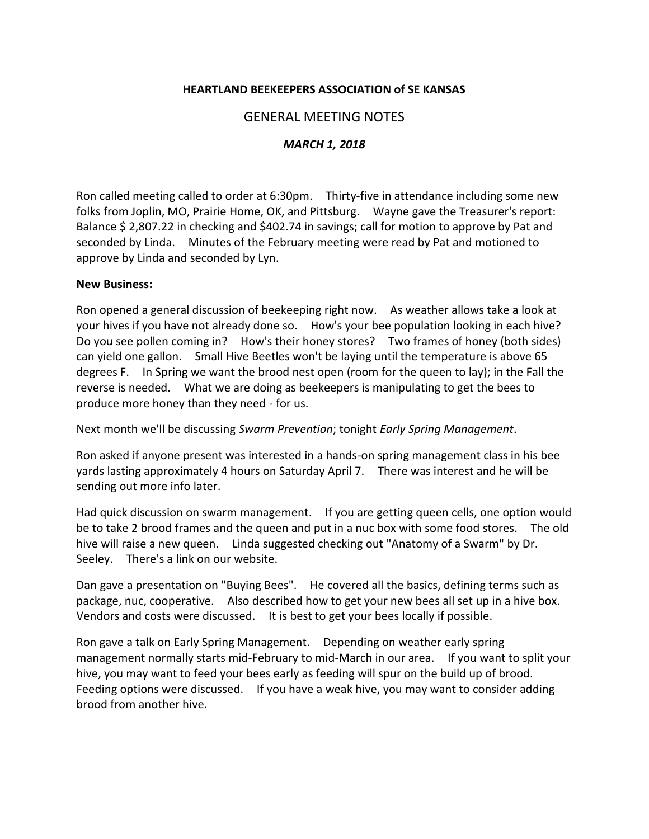## **HEARTLAND BEEKEEPERS ASSOCIATION of SE KANSAS**

# GENERAL MEETING NOTES

## *MARCH 1, 2018*

Ron called meeting called to order at 6:30pm. Thirty-five in attendance including some new folks from Joplin, MO, Prairie Home, OK, and Pittsburg. Wayne gave the Treasurer's report: Balance \$2,807.22 in checking and \$402.74 in savings; call for motion to approve by Pat and seconded by Linda. Minutes of the February meeting were read by Pat and motioned to approve by Linda and seconded by Lyn.

#### **New Business:**

Ron opened a general discussion of beekeeping right now. As weather allows take a look at your hives if you have not already done so. How's your bee population looking in each hive? Do you see pollen coming in? How's their honey stores? Two frames of honey (both sides) can yield one gallon. Small Hive Beetles won't be laying until the temperature is above 65 degrees F. In Spring we want the brood nest open (room for the queen to lay); in the Fall the reverse is needed. What we are doing as beekeepers is manipulating to get the bees to produce more honey than they need - for us.

Next month we'll be discussing *Swarm Prevention*; tonight *Early Spring Management*.

Ron asked if anyone present was interested in a hands-on spring management class in his bee yards lasting approximately 4 hours on Saturday April 7. There was interest and he will be sending out more info later.

Had quick discussion on swarm management. If you are getting queen cells, one option would be to take 2 brood frames and the queen and put in a nuc box with some food stores. The old hive will raise a new queen. Linda suggested checking out "Anatomy of a Swarm" by Dr. Seeley. There's a link on our website.

Dan gave a presentation on "Buying Bees". He covered all the basics, defining terms such as package, nuc, cooperative. Also described how to get your new bees all set up in a hive box. Vendors and costs were discussed. It is best to get your bees locally if possible.

Ron gave a talk on Early Spring Management. Depending on weather early spring management normally starts mid-February to mid-March in our area. If you want to split your hive, you may want to feed your bees early as feeding will spur on the build up of brood. Feeding options were discussed. If you have a weak hive, you may want to consider adding brood from another hive.